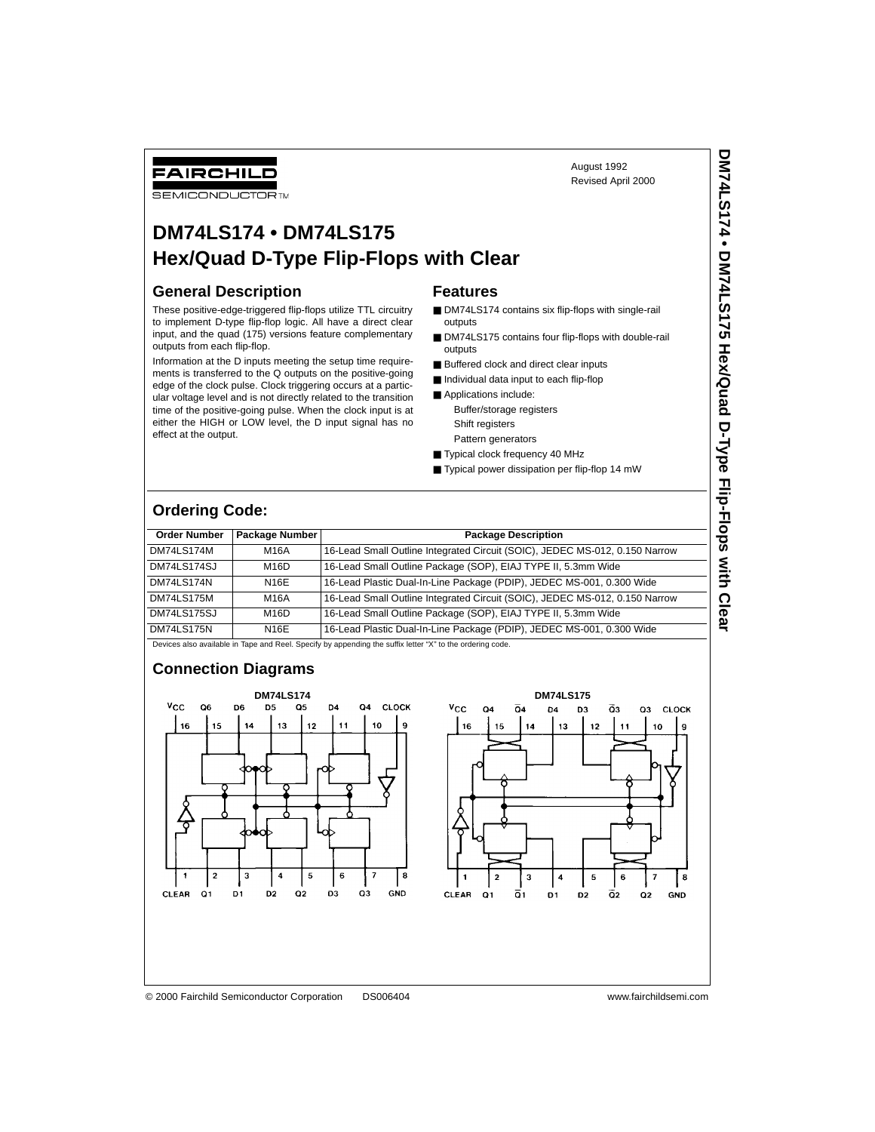FAIRCHILD

### **SEMICONDUCTOR TM**

# **DM74LS174 • DM74LS175 Hex/Quad D-Type Flip-Flops with Clear**

### **General Description**

These positive-edge-triggered flip-flops utilize TTL circuitry to implement D-type flip-flop logic. All have a direct clear input, and the quad (175) versions feature complementary outputs from each flip-flop.

Information at the D inputs meeting the setup time requirements is transferred to the Q outputs on the positive-going edge of the clock pulse. Clock triggering occurs at a particular voltage level and is not directly related to the transition time of the positive-going pulse. When the clock input is at either the HIGH or LOW level, the D input signal has no effect at the output.

### **Features**

■ DM74LS174 contains six flip-flops with single-rail outputs

August 1992 Revised April 2000

- DM74LS175 contains four flip-flops with double-rail outputs
- Buffered clock and direct clear inputs
- Individual data input to each flip-flop
- Applications include: Buffer/storage registers
	- Shift registers
	- Pattern generators
- Typical clock frequency 40 MHz
- Typical power dissipation per flip-flop 14 mW

# **Ordering Code:**

| <b>Order Number</b> | <b>Package Number</b> | <b>Package Description</b>                                                  |
|---------------------|-----------------------|-----------------------------------------------------------------------------|
| <b>DM74LS174M</b>   | M16A                  | 16-Lead Small Outline Integrated Circuit (SOIC), JEDEC MS-012, 0.150 Narrow |
| DM74LS174SJ         | M16D                  | 16-Lead Small Outline Package (SOP), EIAJ TYPE II, 5.3mm Wide               |
| DM74LS174N          | N16E                  | 16-Lead Plastic Dual-In-Line Package (PDIP), JEDEC MS-001, 0.300 Wide       |
| <b>DM74LS175M</b>   | M16A                  | 16-Lead Small Outline Integrated Circuit (SOIC), JEDEC MS-012, 0.150 Narrow |
| <b>DM74LS175SJ</b>  | M16D                  | 16-Lead Small Outline Package (SOP), EIAJ TYPE II, 5.3mm Wide               |
| <b>DM74LS175N</b>   | N16E                  | 16-Lead Plastic Dual-In-Line Package (PDIP), JEDEC MS-001, 0.300 Wide       |

Devices also available in Tape and Reel. Specify by appending the suffix letter "X" to the ordering code.

# **Connection Diagrams**





© 2000 Fairchild Semiconductor Corporation DS006404 www.fairchildsemi.com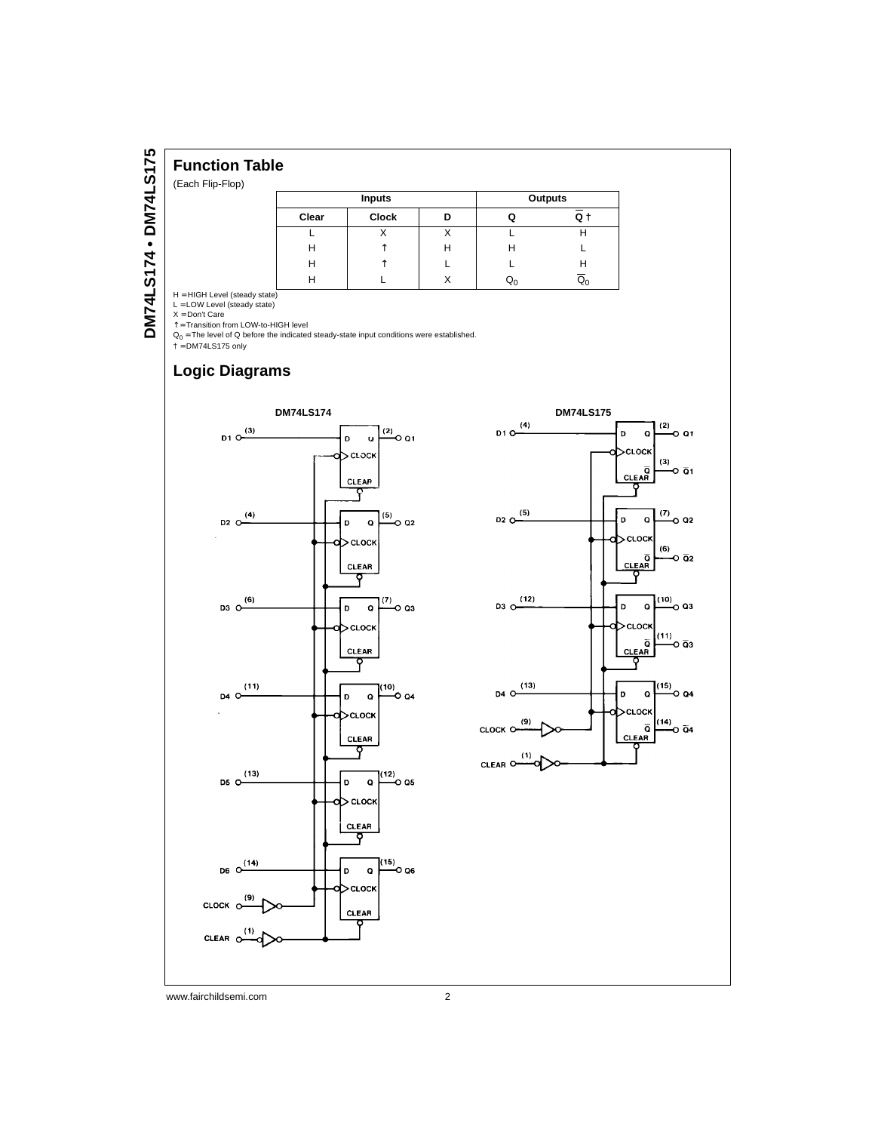# **Function Table**

(Each Flip-Flop)

| Inputs |              |   |   | Outputs |
|--------|--------------|---|---|---------|
| Clear  | <b>Clock</b> | D | ω | Q       |
|        |              | ∧ |   |         |
| н      |              | н | н |         |
| н      |              |   |   |         |
|        |              |   |   |         |

H = HIGH Level (steady state)<br>L = LOW Level (steady state)<br>X = Don't Care<br>↑ = Transition from LOW-to-HIGH level<br>Q<sub>0</sub> = The level of Q before the indicated steady-state input conditions were established.

 $\dagger$  = DM74LS175 only

# **Logic Diagrams**



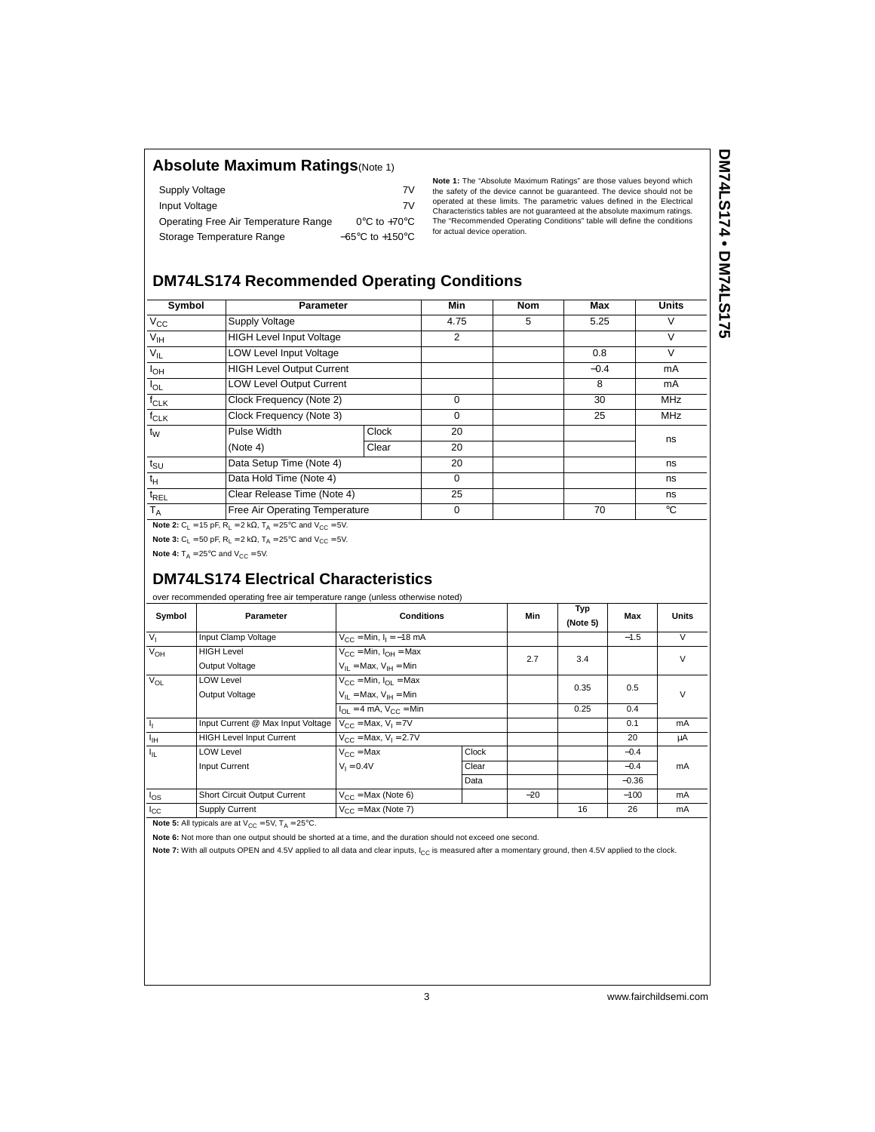### **Absolute Maximum Ratings**(Note 1)

| Supply Voltage                       | 7V                                  |
|--------------------------------------|-------------------------------------|
| Input Voltage                        | 7V                                  |
| Operating Free Air Temperature Range | $0^{\circ}$ C to +70 $^{\circ}$ C   |
| Storage Temperature Range            | $-65^{\circ}$ C to $+150^{\circ}$ C |

**Note 1:** The "Absolute Maximum Ratings" are those values beyond which the safety of the device cannot be guaranteed. The device should not be operated at these limits. The parametric values defined in the Electrical Characteristics tables are not guaranteed at the absolute maximum ratings. The "Recommended Operating Conditions" table will define the conditions for actual device operation.

# DM74LS174 • DM74LS175 **DM74LS174 • DM74LS175**

# **DM74LS174 Recommended Operating Conditions**

| Symbol                | <b>Parameter</b>                 |       | Min  | <b>Nom</b> | Max    | <b>Units</b> |
|-----------------------|----------------------------------|-------|------|------------|--------|--------------|
| $V_{\rm CC}$          | Supply Voltage                   |       | 4.75 | 5          | 5.25   | v            |
| V <sub>IH</sub>       | <b>HIGH Level Input Voltage</b>  |       | 2    |            |        | $\vee$       |
| $V_{IL}$              | <b>LOW Level Input Voltage</b>   |       |      |            | 0.8    | V            |
| <b>I<sub>OH</sub></b> | <b>HIGH Level Output Current</b> |       |      |            | $-0.4$ | mA           |
| $I_{OL}$              | LOW Level Output Current         |       |      |            | 8      | mA           |
| $f_{CLK}$             | Clock Frequency (Note 2)         |       | 0    |            | 30     | <b>MHz</b>   |
| $f_{CLK}$             | Clock Frequency (Note 3)         |       | 0    |            | 25     | <b>MHz</b>   |
| $t_{\rm W}$           | Pulse Width                      | Clock | 20   |            |        | ns           |
|                       | (Note 4)                         | Clear | 20   |            |        |              |
| $t_{\text{SU}}$       | Data Setup Time (Note 4)         |       | 20   |            |        | ns           |
| $t_H$                 | Data Hold Time (Note 4)          |       | 0    |            |        | ns           |
| $t_{REL}$             | Clear Release Time (Note 4)      |       | 25   |            |        | ns           |
| $T_A$                 | Free Air Operating Temperature   |       | 0    |            | 70     | $^{\circ}$ C |

**Note 2:**  $C_1 = 15$  pF,  $R_1 = 2$  k $\Omega$ ,  $T_A = 25^{\circ}$ C and  $V_{CC} = 5V$ .

**Note 3:**  $C_L = 50$  pF,  $R_L = 2$  k $\Omega$ ,  $T_A = 25^{\circ}$ C and  $V_{CC} = 5V$ .

**Note 4:**  $T_A = 25^\circ \text{C}$  and  $V_{CC} = 5V$ .

# **DM74LS174 Electrical Characteristics**

over recommended operating free air temperature range (unless otherwise noted)

| Symbol         | Parameter                                                     | <b>Conditions</b>                                             |              | Min   | Typ<br>(Note 5) | Max     | <b>Units</b> |
|----------------|---------------------------------------------------------------|---------------------------------------------------------------|--------------|-------|-----------------|---------|--------------|
| V <sub>1</sub> | Input Clamp Voltage                                           | $V_{CC} = Min, I_1 = -18 mA$                                  |              |       |                 | $-1.5$  | $\vee$       |
| $V_{OH}$       | <b>HIGH Level</b>                                             | $V_{\text{CC}}$ = Min, $I_{\text{OH}}$ = Max                  |              | 2.7   | 3.4             |         | V            |
|                | Output Voltage                                                | $V_{II}$ = Max, $V_{IH}$ = Min                                |              |       |                 |         |              |
| $V_{OL}$       | <b>LOW Level</b>                                              | $V_{CC}$ = Min, $I_{OL}$ = Max                                |              |       | 0.35            | 0.5     |              |
|                | Output Voltage                                                | $V_{II}$ = Max, $V_{IH}$ = Min                                |              |       |                 |         | V            |
|                |                                                               | $I_{\text{OL}} = 4 \text{ mA}$ , $V_{\text{CC}} = \text{Min}$ |              |       | 0.25            | 0.4     |              |
| J,             | Input Current @ Max Input Voltage $V_{CC} = Max$ , $V_1 = 7V$ |                                                               |              |       |                 | 0.1     | mA           |
| $I_{\rm IH}$   | <b>HIGH Level Input Current</b>                               | $V_{CC}$ = Max, $V_1$ = 2.7V                                  |              |       |                 | 20      | μA           |
| $I_{\rm IL}$   | <b>LOW Level</b>                                              | $V_{CC}$ = Max                                                | <b>Clock</b> |       |                 | $-0.4$  |              |
|                | Input Current                                                 | $V_1 = 0.4V$                                                  | Clear        |       |                 | $-0.4$  | mA           |
|                |                                                               |                                                               | Data         |       |                 | $-0.36$ |              |
| $I_{OS}$       | Short Circuit Output Current                                  | $V_{CC}$ = Max (Note 6)                                       |              | $-20$ |                 | $-100$  | mA           |
| $I_{\rm CC}$   | Supply Current                                                | $V_{CC}$ = Max (Note 7)                                       |              |       | 16              | 26      | mA           |

**Note 5:** All typicals are at  $V_{CC} = 5V$ ,  $T_A = 25^{\circ}C$ .

**Note 6:** Not more than one output should be shorted at a time, and the duration should not exceed one second.

Note 7: With all outputs OPEN and 4.5V applied to all data and clear inputs, I<sub>CC</sub> is measured after a momentary ground, then 4.5V applied to the clock.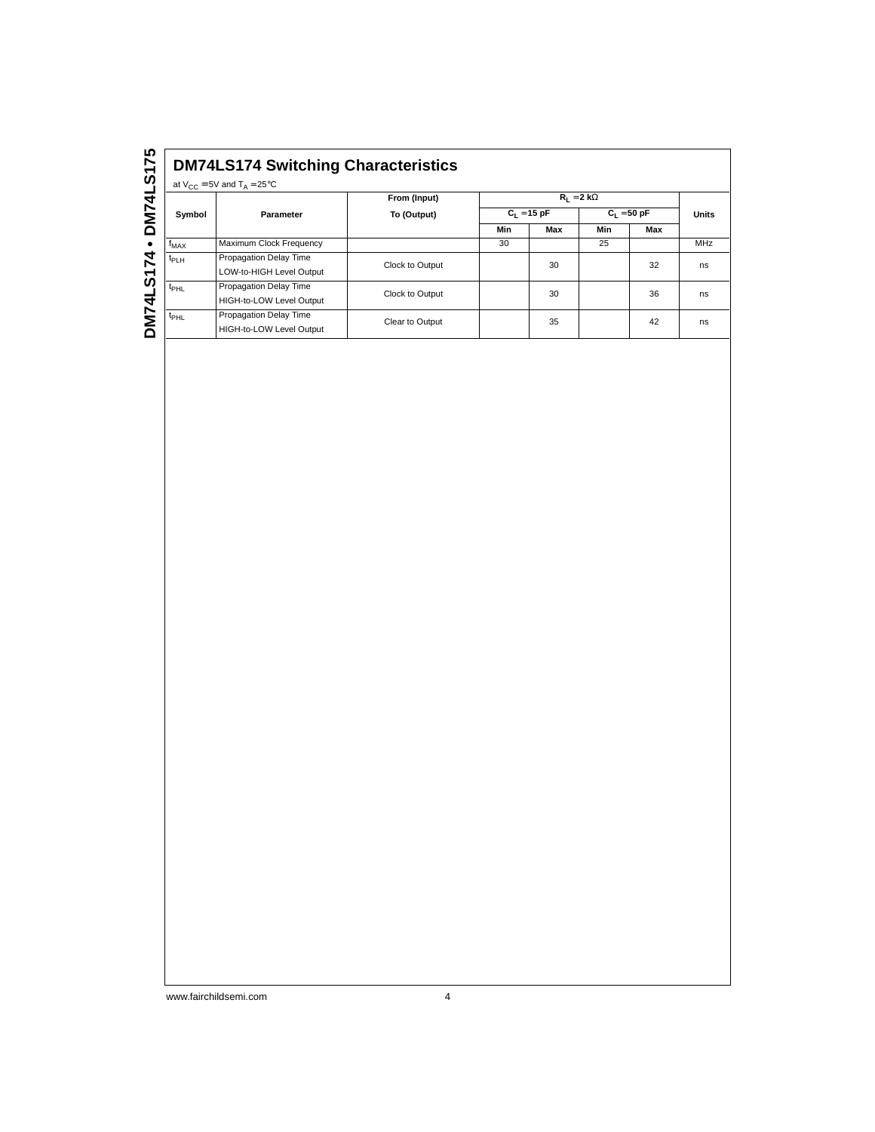|                  | at $V_{CC} = 5V$ and $T_A = 25^{\circ}C$           | From (Input)    |               | $R_1 = 2 k\Omega$ |               |     |              |
|------------------|----------------------------------------------------|-----------------|---------------|-------------------|---------------|-----|--------------|
| Symbol           | Parameter                                          | To (Output)     | $C_1 = 15 pF$ |                   | $C_1 = 50 pF$ |     | <b>Units</b> |
|                  |                                                    |                 | Min           | Max               | Min           | Max |              |
| $f_{MAX}$        | Maximum Clock Frequency                            |                 | 30            |                   | 25            |     | <b>MHz</b>   |
| $t_{PLH}$        | Propagation Delay Time<br>LOW-to-HIGH Level Output | Clock to Output |               | 30                |               | 32  | ns           |
| t <sub>PHL</sub> | Propagation Delay Time<br>HIGH-to-LOW Level Output | Clock to Output |               | 30                |               | 36  | ns           |
| t <sub>PHL</sub> | Propagation Delay Time<br>HIGH-to-LOW Level Output | Clear to Output |               | 35                |               | 42  | ns           |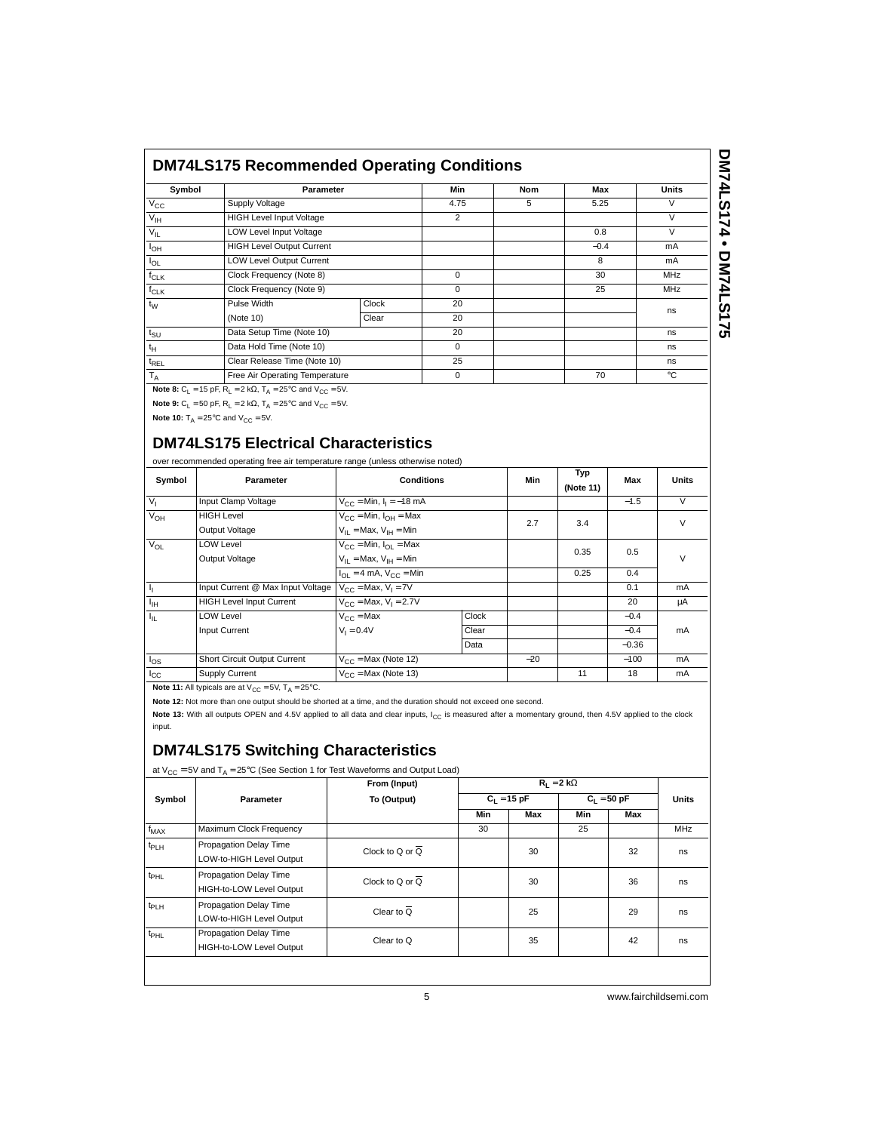| Symbol          | Parameter                        |       | Min            | <b>Nom</b> | Max    | <b>Units</b> |
|-----------------|----------------------------------|-------|----------------|------------|--------|--------------|
| $V_{\rm CC}$    | Supply Voltage                   |       | 4.75           | 5          | 5.25   | V            |
| $V_{\text{IH}}$ | <b>HIGH Level Input Voltage</b>  |       | $\overline{2}$ |            |        | V            |
| $V_{IL}$        | <b>LOW Level Input Voltage</b>   |       |                |            | 0.8    | $\vee$       |
| $I_{OH}$        | <b>HIGH Level Output Current</b> |       |                |            | $-0.4$ | mA           |
| $I_{OL}$        | <b>LOW Level Output Current</b>  |       |                |            | 8      | mA           |
| $f_{CLK}$       | Clock Frequency (Note 8)         |       | $\Omega$       |            | 30     | <b>MHz</b>   |
| $f_{CLK}$       | Clock Frequency (Note 9)         |       | $\Omega$       |            | 25     | <b>MHz</b>   |
| $t_{\rm W}$     | Pulse Width                      | Clock | 20             |            |        |              |
|                 | (Note 10)                        | Clear | 20             |            |        | ns           |
| $t_{\text{SU}}$ | Data Setup Time (Note 10)        |       | 20             |            |        | ns           |
| $t_H$           | Data Hold Time (Note 10)         |       | $\Omega$       |            |        | ns           |
| $t_{REL}$       | Clear Release Time (Note 10)     |       | 25             |            |        | ns           |
| $T_A$           | Free Air Operating Temperature   |       | $\Omega$       |            | 70     | °C           |

**Note 8:**  $C_L = 15$  pF,  $R_L = 2$  k $\Omega$ ,  $T_A = 25^{\circ}$ C and  $V_{CC} = 5V$ . **Note 9:**  $C_L = 50$  pF,  $R_L = 2$  k $\Omega$ ,  $T_A = 25^{\circ}$ C and  $V_{CC} = 5V$ .

**Note 10:**  $T_A = 25^{\circ}$ C and  $V_{CC} = 5V$ .

# **DM74LS175 Electrical Characteristics**

over recommended operating free air temperature range (unless otherwise noted)

| Symbol         | <b>Parameter</b>                                              | <b>Conditions</b>                                             |              | Min   | Typ<br>(Note 11) | Max     | <b>Units</b> |
|----------------|---------------------------------------------------------------|---------------------------------------------------------------|--------------|-------|------------------|---------|--------------|
| V <sub>1</sub> | Input Clamp Voltage                                           | $V_{CC}$ = Min, $I_1$ = -18 mA                                |              |       |                  | $-1.5$  | $\vee$       |
| $V_{OH}$       | <b>HIGH Level</b>                                             | $V_{CC}$ = Min, $I_{OH}$ = Max                                |              | 2.7   | 3.4              |         | V            |
|                | Output Voltage                                                | $V_{II}$ = Max, $V_{IH}$ = Min                                |              |       |                  |         |              |
| $V_{OL}$       | <b>LOW Level</b>                                              | $V_{CC}$ = Min, $I_{OL}$ = Max                                |              |       | 0.35             | 0.5     |              |
|                | Output Voltage                                                | $V_{II}$ = Max, $V_{IH}$ = Min                                |              |       |                  |         | V            |
|                |                                                               | $I_{\text{OL}} = 4 \text{ mA}$ , $V_{\text{CC}} = \text{Min}$ |              |       | 0.25             | 0.4     |              |
| J,             | Input Current @ Max Input Voltage $V_{CC} = Max$ , $V_1 = 7V$ |                                                               |              |       |                  | 0.1     | mA           |
| $I_{\rm{H}}$   | <b>HIGH Level Input Current</b>                               | $V_{CC}$ = Max, $V_1$ = 2.7V                                  |              |       |                  | 20      | μA           |
| Ιų,            | <b>LOW Level</b>                                              | $V_{C}$ = Max                                                 | <b>Clock</b> |       |                  | $-0.4$  |              |
|                | Input Current                                                 | $V_1 = 0.4V$                                                  | Clear        |       |                  | $-0.4$  | mA           |
|                |                                                               |                                                               | Data         |       |                  | $-0.36$ |              |
| $I_{OS}$       | Short Circuit Output Current                                  | $V_{CC}$ = Max (Note 12)                                      |              | $-20$ |                  | $-100$  | mA           |
| $I_{\rm CC}$   | Supply Current                                                | $V_{\text{CC}}$ = Max (Note 13)                               |              |       | 11               | 18      | mA           |

**Note 11:** All typicals are at  $V_{CC} = 5V$ ,  $T_A = 25^{\circ}$ C.

**Note 12:** Not more than one output should be shorted at a time, and the duration should not exceed one second.

Note 13: With all outputs OPEN and 4.5V applied to all data and clear inputs, I<sub>CC</sub> is measured after a momentary ground, then 4.5V applied to the clock input.

# **DM74LS175 Switching Characteristics**

| Symbol           |                                                    | From (Input)                 |               |     |               |     |              |
|------------------|----------------------------------------------------|------------------------------|---------------|-----|---------------|-----|--------------|
|                  | Parameter                                          | To (Output)                  | $C_1 = 15 pF$ |     | $C_1 = 50 pF$ |     | <b>Units</b> |
|                  |                                                    |                              | Min           | Max | Min           | Max |              |
| $f_{MAX}$        | Maximum Clock Frequency                            |                              | 30            |     | 25            |     | <b>MHz</b>   |
| t <sub>PLH</sub> | Propagation Delay Time<br>LOW-to-HIGH Level Output | Clock to Q or $\overline{Q}$ |               | 30  |               | 32  | ns           |
| t <sub>PHL</sub> | Propagation Delay Time<br>HIGH-to-LOW Level Output | Clock to Q or $\overline{Q}$ |               | 30  |               | 36  | ns           |
| t <sub>PLH</sub> | Propagation Delay Time<br>LOW-to-HIGH Level Output | Clear to $\overline{Q}$      |               | 25  |               | 29  | ns           |
| t <sub>PHL</sub> | Propagation Delay Time<br>HIGH-to-LOW Level Output | Clear to Q                   |               | 35  |               | 42  | ns           |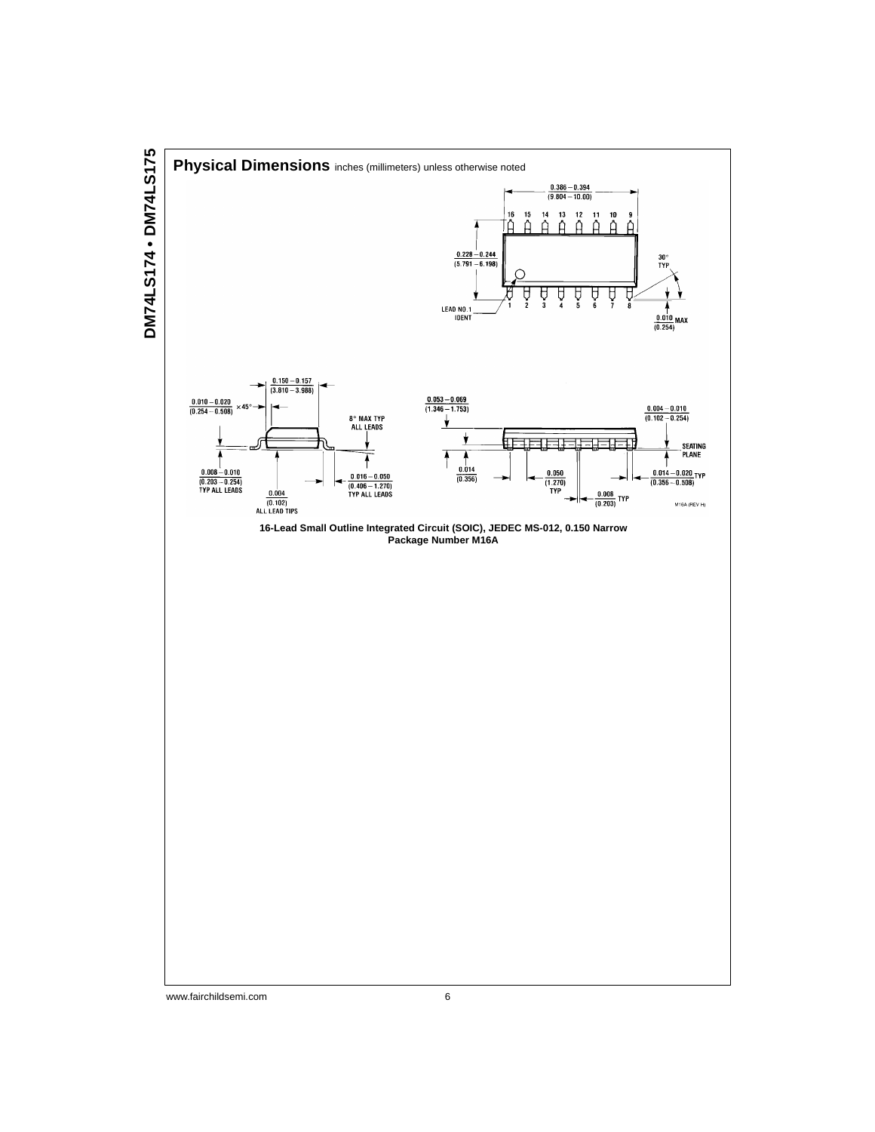

www.fairchildsemi.com 6